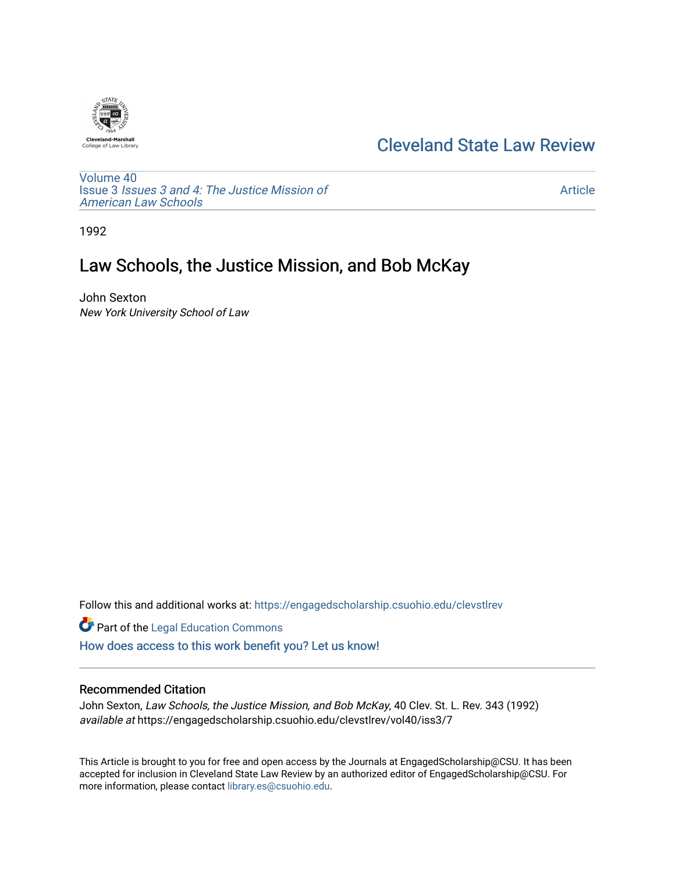

## [Cleveland State Law Review](https://engagedscholarship.csuohio.edu/clevstlrev)

[Volume 40](https://engagedscholarship.csuohio.edu/clevstlrev/vol40) Issue 3 [Issues 3 and 4: The Justice Mission of](https://engagedscholarship.csuohio.edu/clevstlrev/vol40/iss3)  [American Law Schools](https://engagedscholarship.csuohio.edu/clevstlrev/vol40/iss3) 

[Article](https://engagedscholarship.csuohio.edu/clevstlrev/vol40/iss3/7) 

1992

# Law Schools, the Justice Mission, and Bob McKay

John Sexton New York University School of Law

Follow this and additional works at: [https://engagedscholarship.csuohio.edu/clevstlrev](https://engagedscholarship.csuohio.edu/clevstlrev?utm_source=engagedscholarship.csuohio.edu%2Fclevstlrev%2Fvol40%2Fiss3%2F7&utm_medium=PDF&utm_campaign=PDFCoverPages)

**Part of the Legal Education Commons** [How does access to this work benefit you? Let us know!](http://library.csuohio.edu/engaged/)

## Recommended Citation

John Sexton, Law Schools, the Justice Mission, and Bob McKay, 40 Clev. St. L. Rev. 343 (1992) available at https://engagedscholarship.csuohio.edu/clevstlrev/vol40/iss3/7

This Article is brought to you for free and open access by the Journals at EngagedScholarship@CSU. It has been accepted for inclusion in Cleveland State Law Review by an authorized editor of EngagedScholarship@CSU. For more information, please contact [library.es@csuohio.edu](mailto:library.es@csuohio.edu).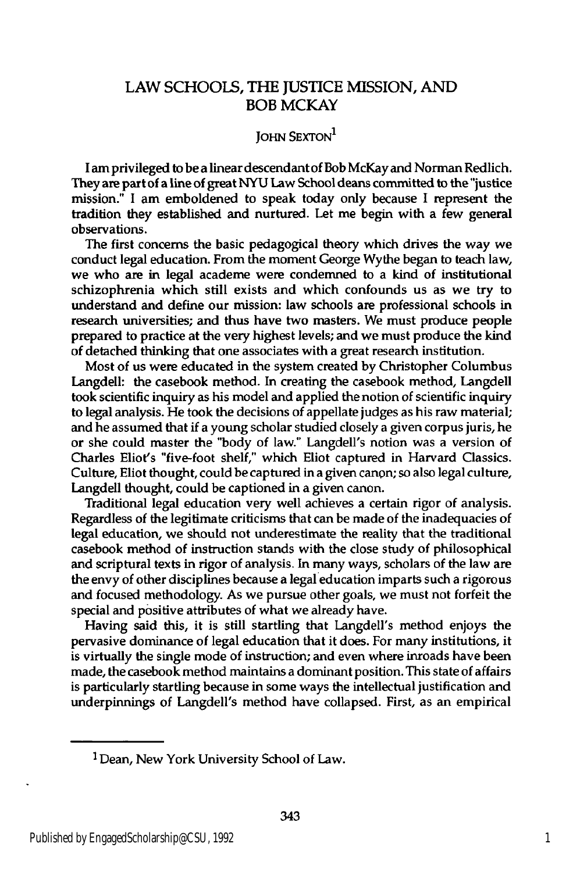### LAW SCHOOLS, **THE JUSTICE MISSION, AND** BOB MCKAY

### **JOHN SEXTON**<sup>1</sup>

I am privileged to be a linear descendant of Bob McKay and Norman Redlich. They are part of a line of great **NYU** Law School deans committed to the "justice mission." **I** am emboldened to speak today only because I represent the tradition they established and nurtured. Let me begin with a few general observations.

The first concerns the basic pedagogical theory which drives the way we conduct legal education. From the moment George Wythe began to teach law, we who are in legal academe were condemned to a kind of institutional schizophrenia which still exists and which confounds us as we try to understand and define our mission: law schools are professional schools in research universities; and thus have two masters. We must produce people prepared to practice at the very highest levels; and we must produce the kind of detached thinking that one associates with a great research institution.

Most of us were educated in the system created **by** Christopher Columbus Langdell: the casebook method. In creating the casebook method, Langdell took scientific inquiry as his model and applied the notion of scientific inquiry to legal analysis. He took the decisions of appellate judges as his raw material; and he assumed that if a young scholar studied closely a given corpus juris, he or she could master the "body of law." Langdell's notion was a version of Charles Eliot's "five-foot shelf," which Eliot captured in Harvard Classics. Culture, Eliot thought, could be captured in a given canon; so also legal culture, Langdell thought, could be captioned in a given canon.

Traditional legal education very well achieves a certain rigor of analysis. Regardless of the legitimate criticisms that can be made of the inadequacies of legal education, we should not underestimate the reality that the traditional casebook method of instruction stands with the close study of philosophical and scriptural texts in rigor of analysis. In many ways, scholars of the law are the envy of other disciplines because a legal education imparts such a rigorous and focused methodology. As we pursue other goals, we must not forfeit the special and positive attributes of what we already have.

Having said this, it is still startling that Langdell's method enjoys the pervasive dominance of legal education that it does. For many institutions, it is virtually the single mode of instruction; and even where inroads have been made, the casebook method maintains a dominant position. This state of affairs is particularly startling because in some ways the intellectual justification and underpinnings of Langdell's method have collapsed. First, as an empirical

<sup>1</sup>Dean, New York University School of Law.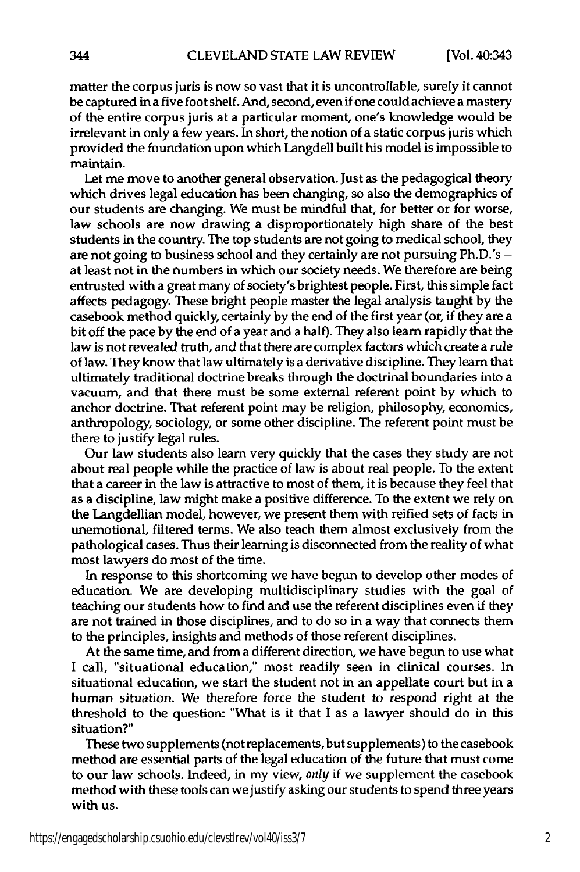matter the corpus juris is now so vast that it is uncontrollable, surely it cannot be captured in a five foot shelf. And, second, even if one could achieve a mastery of the entire corpus juris at a particular moment, one's knowledge would be irrelevant in only a few years. In short, the notion of a static corpus juris which provided the foundation upon which Langdell built his model is impossible to maintain.

Let me move to another general observation. Just as the pedagogical theory which drives legal education has been changing, so also the demographics of our students are changing. We must be mindful that, for better or for worse, law schools are now drawing a disproportionately high share of the best students in the country. The top students are not going to medical school, they are not going to business school and they certainly are not pursuing Ph.D.'s  at least not in the numbers in which our society needs. We therefore are being entrusted with a great many of society's brightest people. First, this simple fact affects pedagogy. These bright people master the legal analysis taught **by** the casebook method quickly, certainly **by** the end of the first year (or, if they are a bit off the pace **by** the end of a year and a half). They also learn rapidly that the law is not revealed truth, and that there are complex factors which create a rule of law. They know that law ultimately is a derivative discipline. They learn that ultimately traditional doctrine breaks through the doctrinal boundaries into a vacuum, and that there must be some external referent point **by** which to anchor doctrine. That referent point may be religion, philosophy, economics, anthropology, sociology, or some other discipline. The referent point must be there to justify legal rules.

Our law students also **learn** very quickly that the cases they study are not about real people while the practice of law is about real people. To the extent that a career in the law is attractive to most of them, it is because they feel that as a discipline, law might make a positive difference. To the extent we rely on the Langdellian model, however, we present them with reified sets of facts in unemotional, filtered terms. We also teach them almost exclusively from the pathological cases. Thus their learning is disconnected from the reality of what most lawyers do most of the time.

In response to this shortcoming we have begun to develop other modes of education. We are developing multidisciplinary studies with the goal of teaching our students how to find and use the referent disciplines even if they are not trained in those disciplines, and to do so in a way that connects them to the principles, insights and methods of those referent disciplines.

At the same time, and from a different direction, we have begun to use what **I** call, "situational education," most readily seen in clinical courses. In situational education, we start the student not in an appellate court but in a human situation. We therefore force the student to respond right at the threshold to the question: "What is it that **I** as a lawyer should do in this situation?"

These two supplements (not replacements, but supplements) to the casebook method are essential parts of the legal education of the future that must come to our law schools. Indeed, in my view, *only* if we supplement the casebook method with these tools can we justify asking our students to spend three years with us.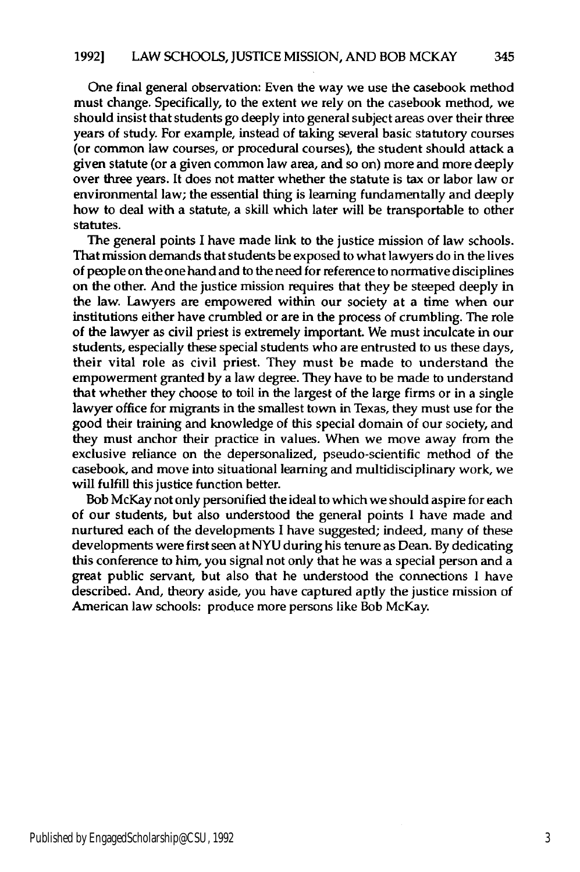One final general observation: Even the way we use the casebook method must change. Specifically, to the extent we rely on the casebook method, we should insist that students go deeply into general subject areas over their three years of study. For example, instead of taking several basic statutory courses (or common law courses, or procedural courses), the student should attack a given statute (or a given common law area, and so on) more and more deeply over three years. It does not matter whether the statute is tax or labor law or environmental law; the essential thing is learning fundamentally and deeply how to deal with a statute, a skill which later will be transportable to other statutes.

The general points I have made link to the justice mission of law schools. That mission demands that students be exposed to what lawyers do in the lives of people on the one hand and to the need for reference to normative disciplines on the other. And the justice mission requires that they be steeped deeply in the law. Lawyers are empowered within our society at a time when our institutions either have crumbled or are in the process of crumbling. The role of the lawyer as civil priest is extremely important. We must inculcate in our students, especially these special students who are entrusted to us these days, their vital role as civil priest. They must be made to understand the empowerment granted **by** a law degree. They have to be made to understand that whether they choose to toil in the largest of the large firms or in a single lawyer office for migrants in the smallest town in Texas, they must use for the good their training and knowledge of this special domain of our society, and they must anchor their practice in values. When we move away from the exclusive reliance on the depersonalized, pseudo-scientific method of the casebook, and move into situational leaming and multidisciplinary work, we will fulfill this justice function better.

Bob McKay not only personified the ideal to which we should aspire for each of our students, but also understood the general points **I** have made and nurtured each of the developments **I** have suggested; indeed, many of these developments were first seen at **NYU** during his tenure as Dean. **By** dedicating this conference to him, you signal not only that he was a special person and a great public servant, but also that he understood the connections **I** have described. And, theory aside, you have captured aptly the justice mission of American law schools: produce more persons like Bob McKay.